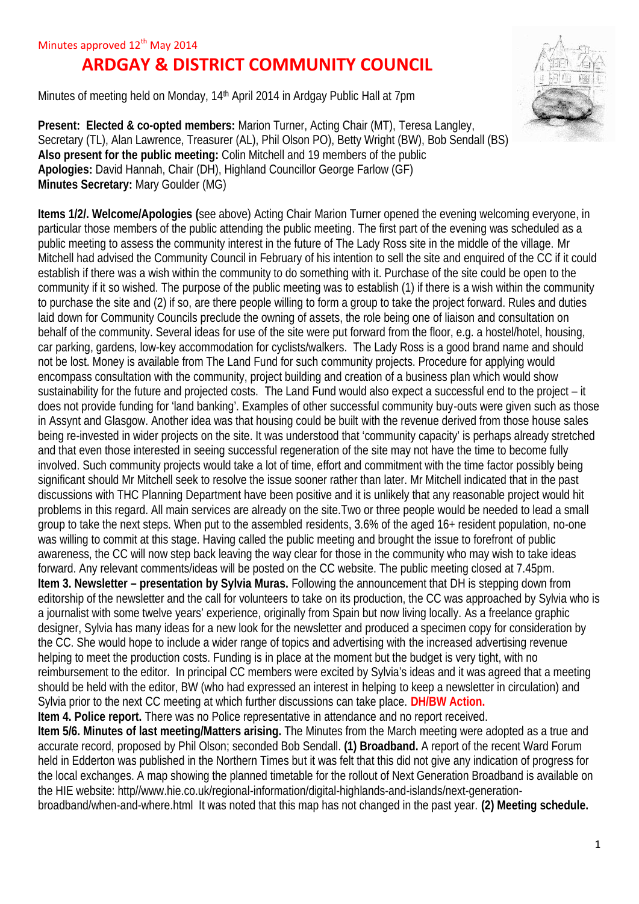## **ARDGAY & DISTRICT COMMUNITY COUNCIL**

Minutes of meeting held on Monday, 14th April 2014 in Ardgay Public Hall at 7pm



**Present: Elected & co-opted members:** Marion Turner, Acting Chair (MT), Teresa Langley, Secretary (TL), Alan Lawrence, Treasurer (AL), Phil Olson PO), Betty Wright (BW), Bob Sendall (BS) **Also present for the public meeting:** Colin Mitchell and 19 members of the public **Apologies:** David Hannah, Chair (DH), Highland Councillor George Farlow (GF) **Minutes Secretary:** Mary Goulder (MG)

**Items 1/2/. Welcome/Apologies (**see above) Acting Chair Marion Turner opened the evening welcoming everyone, in particular those members of the public attending the public meeting. The first part of the evening was scheduled as a public meeting to assess the community interest in the future of The Lady Ross site in the middle of the village. Mr Mitchell had advised the Community Council in February of his intention to sell the site and enquired of the CC if it could establish if there was a wish within the community to do something with it. Purchase of the site could be open to the community if it so wished. The purpose of the public meeting was to establish (1) if there is a wish within the community to purchase the site and (2) if so, are there people willing to form a group to take the project forward. Rules and duties laid down for Community Councils preclude the owning of assets, the role being one of liaison and consultation on behalf of the community. Several ideas for use of the site were put forward from the floor, e.g. a hostel/hotel, housing, car parking, gardens, low-key accommodation for cyclists/walkers. The Lady Ross is a good brand name and should not be lost. Money is available from The Land Fund for such community projects. Procedure for applying would encompass consultation with the community, project building and creation of a business plan which would show sustainability for the future and projected costs. The Land Fund would also expect a successful end to the project – it does not provide funding for 'land banking'. Examples of other successful community buy-outs were given such as those in Assynt and Glasgow. Another idea was that housing could be built with the revenue derived from those house sales being re-invested in wider projects on the site. It was understood that 'community capacity' is perhaps already stretched and that even those interested in seeing successful regeneration of the site may not have the time to become fully involved. Such community projects would take a lot of time, effort and commitment with the time factor possibly being significant should Mr Mitchell seek to resolve the issue sooner rather than later. Mr Mitchell indicated that in the past discussions with THC Planning Department have been positive and it is unlikely that any reasonable project would hit problems in this regard. All main services are already on the site.Two or three people would be needed to lead a small group to take the next steps. When put to the assembled residents, 3.6% of the aged 16+ resident population, no-one was willing to commit at this stage. Having called the public meeting and brought the issue to forefront of public awareness, the CC will now step back leaving the way clear for those in the community who may wish to take ideas forward. Any relevant comments/ideas will be posted on the CC website. The public meeting closed at 7.45pm. **Item 3. Newsletter – presentation by Sylvia Muras.** Following the announcement that DH is stepping down from editorship of the newsletter and the call for volunteers to take on its production, the CC was approached by Sylvia who is a journalist with some twelve years' experience, originally from Spain but now living locally. As a freelance graphic designer, Sylvia has many ideas for a new look for the newsletter and produced a specimen copy for consideration by the CC. She would hope to include a wider range of topics and advertising with the increased advertising revenue helping to meet the production costs. Funding is in place at the moment but the budget is very tight, with no reimbursement to the editor. In principal CC members were excited by Sylvia's ideas and it was agreed that a meeting should be held with the editor, BW (who had expressed an interest in helping to keep a newsletter in circulation) and Sylvia prior to the next CC meeting at which further discussions can take place. **DH/BW Action. Item 4. Police report.** There was no Police representative in attendance and no report received. **Item 5/6. Minutes of last meeting/Matters arising.** The Minutes from the March meeting were adopted as a true and accurate record, proposed by Phil Olson; seconded Bob Sendall. **(1) Broadband.** A report of the recent Ward Forum held in Edderton was published in the Northern Times but it was felt that this did not give any indication of progress for the local exchanges. A map showing the planned timetable for the rollout of Next Generation Broadband is available on the HIE website: http//www.hie.co.uk/regional-information/digital-highlands-and-islands/next-generation-

broadband/when-and-where.html It was noted that this map has not changed in the past year. **(2) Meeting schedule.**